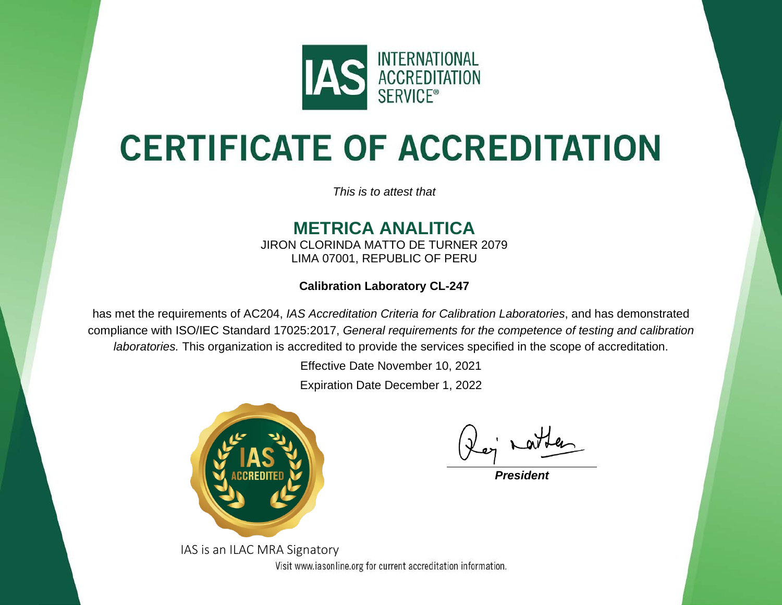

# **CERTIFICATE OF ACCREDITATION**

*This is to attest that*

### **METRICA ANALITICA**

JIRON CLORINDA MATTO DE TURNER 2079 LIMA 07001, REPUBLIC OF PERU

**Calibration Laboratory CL-247**

has met the requirements of AC204, *IAS Accreditation Criteria for Calibration Laboratories*, and has demonstrated compliance with ISO/IEC Standard 17025:2017, *General requirements for the competence of testing and calibration laboratories.* This organization is accredited to provide the services specified in the scope of accreditation.

Effective Date November 10, 2021

Expiration Date December 1, 2022



*President*

IAS is an ILAC MRA SignatoryVisit www.iasonline.org for current accreditation information.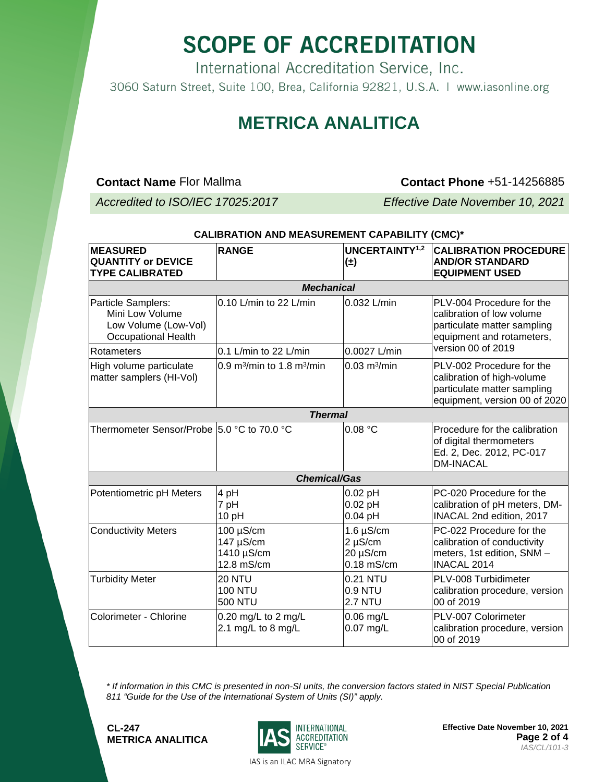# **SCOPE OF ACCREDITATION**

International Accreditation Service, Inc. 3060 Saturn Street, Suite 100, Brea, California 92821, U.S.A. | www.iasonline.org

#### **METRICA ANALITICA**

**Contact Name** Flor Mallma **Contact Phone** +51-14256885

*Accredited to ISO/IEC 17025:2017 Effective Date November 10, 2021*

| <b>MEASURED</b><br><b>QUANTITY or DEVICE</b><br><b>TYPE CALIBRATED</b>                      | <b>RANGE</b>                                       | <b>UNCERTAINTY1,2</b><br>$(\pm)$                           | <b>CALIBRATION PROCEDURE</b><br><b>AND/OR STANDARD</b><br><b>EQUIPMENT USED</b>                                                          |  |  |
|---------------------------------------------------------------------------------------------|----------------------------------------------------|------------------------------------------------------------|------------------------------------------------------------------------------------------------------------------------------------------|--|--|
| <b>Mechanical</b>                                                                           |                                                    |                                                            |                                                                                                                                          |  |  |
| Particle Samplers:<br>Mini Low Volume<br>Low Volume (Low-Vol)<br><b>Occupational Health</b> | 0.10 L/min to 22 L/min                             | 0.032 L/min                                                | PLV-004 Procedure for the<br>calibration of low volume<br>particulate matter sampling<br>equipment and rotameters,<br>version 00 of 2019 |  |  |
| Rotameters                                                                                  | 0.1 L/min to 22 L/min                              | 0.0027 L/min                                               |                                                                                                                                          |  |  |
| High volume particulate<br>matter samplers (HI-Vol)                                         | 0.9 m <sup>3</sup> /min to 1.8 m <sup>3</sup> /min | $0.03$ m <sup>3</sup> /min                                 | PLV-002 Procedure for the<br>calibration of high-volume<br>particulate matter sampling<br>equipment, version 00 of 2020                  |  |  |
| <b>Thermal</b>                                                                              |                                                    |                                                            |                                                                                                                                          |  |  |
| Thermometer Sensor/Probe 5.0 °C to 70.0 °C                                                  |                                                    | 0.08 °C                                                    | Procedure for the calibration<br>of digital thermometers<br>Ed. 2, Dec. 2012, PC-017<br><b>DM-INACAL</b>                                 |  |  |
| <b>Chemical/Gas</b>                                                                         |                                                    |                                                            |                                                                                                                                          |  |  |
| Potentiometric pH Meters                                                                    | 4 pH<br>7 pH<br>10 pH                              | $0.02$ pH<br>$0.02$ pH<br>$0.04$ pH                        | PC-020 Procedure for the<br>calibration of pH meters, DM-<br>INACAL 2nd edition, 2017                                                    |  |  |
| <b>Conductivity Meters</b>                                                                  | 100 µS/cm<br>147 µS/cm<br>1410 µS/cm<br>12.8 mS/cm | $1.6 \mu S/cm$<br>$2 \mu S/cm$<br>20 µS/cm<br>$0.18$ mS/cm | PC-022 Procedure for the<br>calibration of conductivity<br>meters, 1st edition, SNM -<br><b>INACAL 2014</b>                              |  |  |
| <b>Turbidity Meter</b>                                                                      | <b>20 NTU</b><br><b>100 NTU</b><br><b>500 NTU</b>  | 0.21 NTU<br>0.9 NTU<br><b>2.7 NTU</b>                      | PLV-008 Turbidimeter<br>calibration procedure, version<br>00 of 2019                                                                     |  |  |
| Colorimeter - Chlorine                                                                      | $0.20$ mg/L to 2 mg/L<br>2.1 mg/L to 8 mg/L        | $0.06$ mg/L<br>$0.07$ mg/L                                 | PLV-007 Colorimeter<br>calibration procedure, version<br>00 of 2019                                                                      |  |  |

**CALIBRATION AND MEASUREMENT CAPABILITY (CMC)\***

*\* If information in this CMC is presented in non-SI units, the conversion factors stated in NIST Special Publication 811 "Guide for the Use of the International System of Units (SI)" apply.*

**CL-247 METRICA ANALITICA**



**Effective Date November 10, 2021 Page 2 of 4** *IAS/CL/101-3* 

IAS is an ILAC MRA Signatory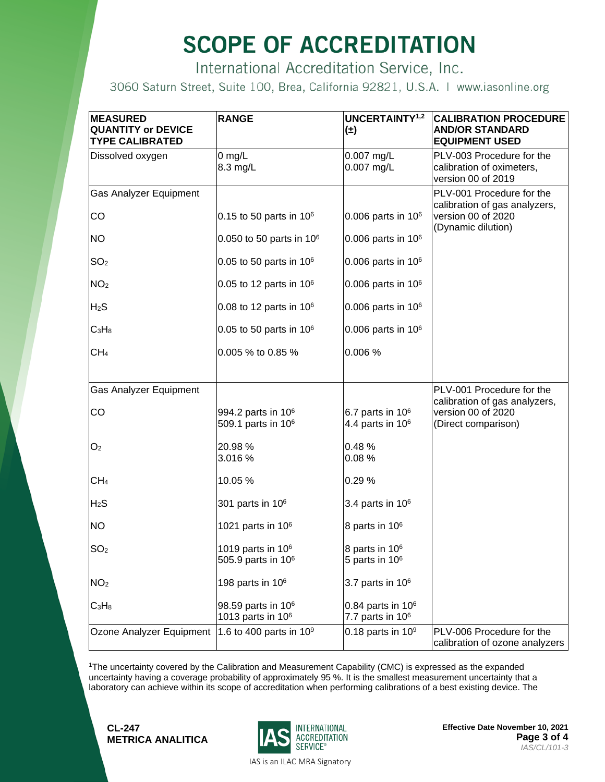# **SCOPE OF ACCREDITATION**

International Accreditation Service, Inc.

3060 Saturn Street, Suite 100, Brea, California 92821, U.S.A. | www.iasonline.org

| <b>MEASURED</b><br><b>QUANTITY or DEVICE</b><br><b>TYPE CALIBRATED</b> | <b>RANGE</b>                                                     | UNCERTAINTY <sup>1,2</sup><br>$(\pm)$                    | <b>CALIBRATION PROCEDURE</b><br><b>AND/OR STANDARD</b><br><b>EQUIPMENT USED</b> |
|------------------------------------------------------------------------|------------------------------------------------------------------|----------------------------------------------------------|---------------------------------------------------------------------------------|
| Dissolved oxygen                                                       | $0$ mg/L<br>8.3 mg/L                                             | 0.007 mg/L<br>0.007 mg/L                                 | PLV-003 Procedure for the<br>calibration of oximeters,<br>version 00 of 2019    |
| Gas Analyzer Equipment                                                 |                                                                  |                                                          | PLV-001 Procedure for the<br>calibration of gas analyzers,                      |
| CO                                                                     | 0.15 to 50 parts in $106$                                        | $0.006$ parts in $106$                                   | version 00 of 2020<br>(Dynamic dilution)                                        |
| <b>NO</b>                                                              | 0.050 to 50 parts in $10^6$                                      | $0.006$ parts in $106$                                   |                                                                                 |
| SO <sub>2</sub>                                                        | 0.05 to 50 parts in $106$                                        | $0.006$ parts in $106$                                   |                                                                                 |
| NO <sub>2</sub>                                                        | 0.05 to 12 parts in 10 <sup>6</sup>                              | $0.006$ parts in $106$                                   |                                                                                 |
| H <sub>2</sub> S                                                       | 0.08 to 12 parts in $106$                                        | $0.006$ parts in $106$                                   |                                                                                 |
| $C_3H_8$                                                               | 0.05 to 50 parts in $106$                                        | $0.006$ parts in $106$                                   |                                                                                 |
| CH <sub>4</sub>                                                        | 0.005 % to 0.85 %                                                | 0.006 %                                                  |                                                                                 |
| Gas Analyzer Equipment                                                 |                                                                  |                                                          | PLV-001 Procedure for the                                                       |
| CO                                                                     | 994.2 parts in 10 <sup>6</sup><br>509.1 parts in 10 <sup>6</sup> | 6.7 parts in $106$<br>4.4 parts in $106$                 | calibration of gas analyzers,<br>version 00 of 2020<br>(Direct comparison)      |
| O <sub>2</sub>                                                         | 20.98 %<br>3.016 %                                               | 0.48%<br>0.08%                                           |                                                                                 |
| CH <sub>4</sub>                                                        | 10.05 %                                                          | 0.29%                                                    |                                                                                 |
| H <sub>2</sub> S                                                       | 301 parts in 10 <sup>6</sup>                                     | 3.4 parts in $106$                                       |                                                                                 |
| <b>NO</b>                                                              | 1021 parts in $106$                                              | 8 parts in 10 <sup>6</sup>                               |                                                                                 |
| SO <sub>2</sub>                                                        | 1019 parts in $106$<br>505.9 parts in 10 <sup>6</sup>            | 8 parts in 10 <sup>6</sup><br>5 parts in 10 <sup>6</sup> |                                                                                 |
| NO <sub>2</sub>                                                        | 198 parts in 10 <sup>6</sup>                                     | 3.7 parts in $106$                                       |                                                                                 |
| $C_3H_8$                                                               | 98.59 parts in 10 <sup>6</sup><br>1013 parts in 10 <sup>6</sup>  | 0.84 parts in $106$<br>7.7 parts in $106$                |                                                                                 |
| Ozone Analyzer Equipment                                               | 1.6 to 400 parts in $10^9$                                       | 0.18 parts in $109$                                      | PLV-006 Procedure for the<br>calibration of ozone analyzers                     |

1The uncertainty covered by the Calibration and Measurement Capability (CMC) is expressed as the expanded uncertainty having a coverage probability of approximately 95 %. It is the smallest measurement uncertainty that a laboratory can achieve within its scope of accreditation when performing calibrations of a best existing device. The